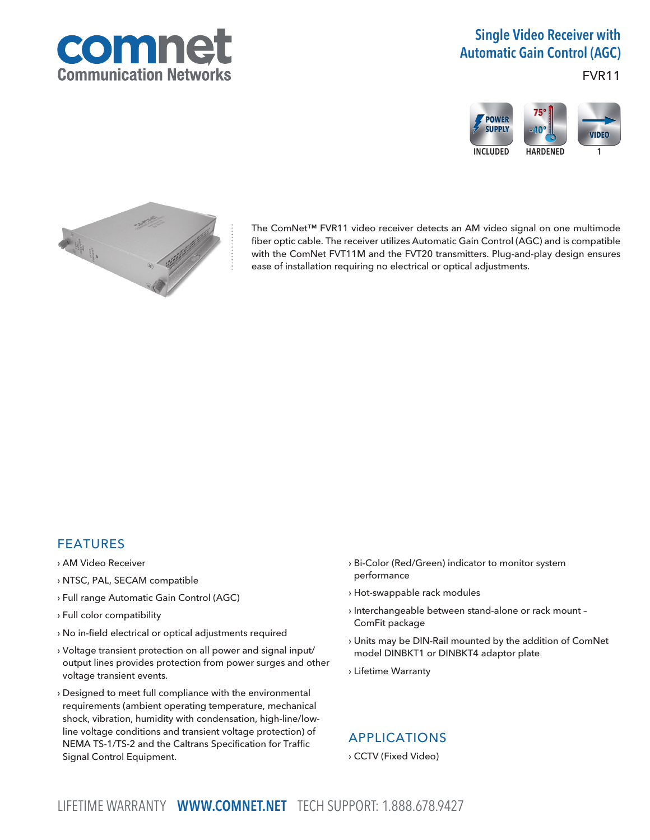

# Single Video Receiver with Automatic Gain Control (AGC)

# FVR11





The ComNet™ FVR11 video receiver detects an AM video signal on one multimode fiber optic cable. The receiver utilizes Automatic Gain Control (AGC) and is compatible with the ComNet FVT11M and the FVT20 transmitters. Plug-and-play design ensures ease of installation requiring no electrical or optical adjustments.

# FEATURES

- › AM Video Receiver
- › NTSC, PAL, SECAM compatible
- › Full range Automatic Gain Control (AGC)
- › Full color compatibility
- › No in-field electrical or optical adjustments required
- › Voltage transient protection on all power and signal input/ output lines provides protection from power surges and other voltage transient events.
- › Designed to meet full compliance with the environmental requirements (ambient operating temperature, mechanical shock, vibration, humidity with condensation, high-line/lowline voltage conditions and transient voltage protection) of NEMA TS-1/TS-2 and the Caltrans Specification for Traffic Signal Control Equipment.
- › Bi-Color (Red/Green) indicator to monitor system performance
- › Hot-swappable rack modules
- › Interchangeable between stand-alone or rack mount ComFit package
- › Units may be DIN-Rail mounted by the addition of ComNet model DINBKT1 or DINBKT4 adaptor plate
- › Lifetime Warranty

# APPLICATIONS

› CCTV (Fixed Video)